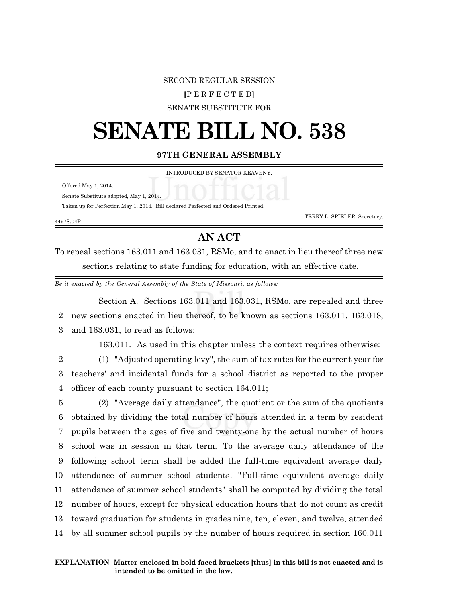### SECOND REGULAR SESSION

### **[**P E R F E C T E D**]**

SENATE SUBSTITUTE FOR

# **SENATE BILL NO. 538**

**97TH GENERAL ASSEMBLY**

INTRODUCED BY SENATOR KEAVENY.

Offered May 1, 2014.

Senate Substitute adopted, May 1, 2014.

Taken up for Perfection May 1, 2014. Bill declared Perfected and Ordered Printed.

4497S.04P

TERRY L. SPIELER, Secretary.

## **AN ACT**

To repeal sections 163.011 and 163.031, RSMo, and to enact in lieu thereof three new sections relating to state funding for education, with an effective date.

*Be it enacted by the General Assembly of the State of Missouri, as follows:*

Section A. Sections 163.011 and 163.031, RSMo, are repealed and three 2 new sections enacted in lieu thereof, to be known as sections 163.011, 163.018, 3 and 163.031, to read as follows:

163.011. As used in this chapter unless the context requires otherwise:

2 (1) "Adjusted operating levy", the sum of tax rates for the current year for 3 teachers' and incidental funds for a school district as reported to the proper 4 officer of each county pursuant to section 164.011;

 (2) "Average daily attendance", the quotient or the sum of the quotients obtained by dividing the total number of hours attended in a term by resident pupils between the ages of five and twenty-one by the actual number of hours school was in session in that term. To the average daily attendance of the following school term shall be added the full-time equivalent average daily attendance of summer school students. "Full-time equivalent average daily attendance of summer school students" shall be computed by dividing the total number of hours, except for physical education hours that do not count as credit toward graduation for students in grades nine, ten, eleven, and twelve, attended by all summer school pupils by the number of hours required in section 160.011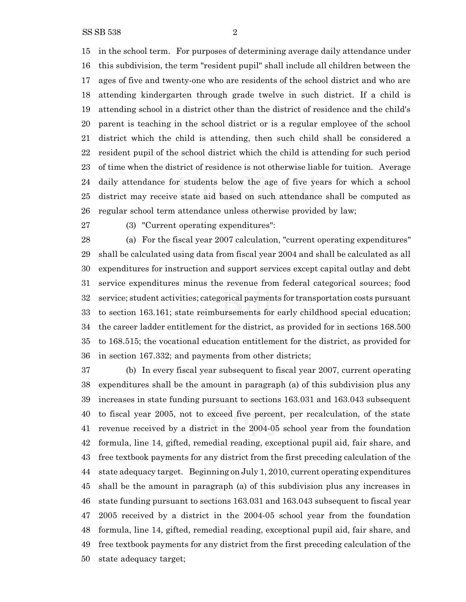SS SB 538 2

 in the school term. For purposes of determining average daily attendance under this subdivision, the term "resident pupil" shall include all children between the ages of five and twenty-one who are residents of the school district and who are attending kindergarten through grade twelve in such district. If a child is attending school in a district other than the district of residence and the child's parent is teaching in the school district or is a regular employee of the school district which the child is attending, then such child shall be considered a resident pupil of the school district which the child is attending for such period of time when the district of residence is not otherwise liable for tuition. Average daily attendance for students below the age of five years for which a school district may receive state aid based on such attendance shall be computed as regular school term attendance unless otherwise provided by law;

(3) "Current operating expenditures":

 (a) For the fiscal year 2007 calculation, "current operating expenditures" shall be calculated using data from fiscal year 2004 and shall be calculated as all expenditures for instruction and support services except capital outlay and debt service expenditures minus the revenue from federal categorical sources; food service; student activities; categorical payments for transportation costs pursuant to section 163.161; state reimbursements for early childhood special education; the career ladder entitlement for the district, as provided for in sections 168.500 to 168.515; the vocational education entitlement for the district, as provided for in section 167.332; and payments from other districts;

 (b) In every fiscal year subsequent to fiscal year 2007, current operating expenditures shall be the amount in paragraph (a) of this subdivision plus any increases in state funding pursuant to sections 163.031 and 163.043 subsequent to fiscal year 2005, not to exceed five percent, per recalculation, of the state revenue received by a district in the 2004-05 school year from the foundation formula, line 14, gifted, remedial reading, exceptional pupil aid, fair share, and free textbook payments for any district from the first preceding calculation of the state adequacy target. Beginning on July 1, 2010, current operating expenditures shall be the amount in paragraph (a) of this subdivision plus any increases in state funding pursuant to sections 163.031 and 163.043 subsequent to fiscal year 2005 received by a district in the 2004-05 school year from the foundation formula, line 14, gifted, remedial reading, exceptional pupil aid, fair share, and free textbook payments for any district from the first preceding calculation of the state adequacy target;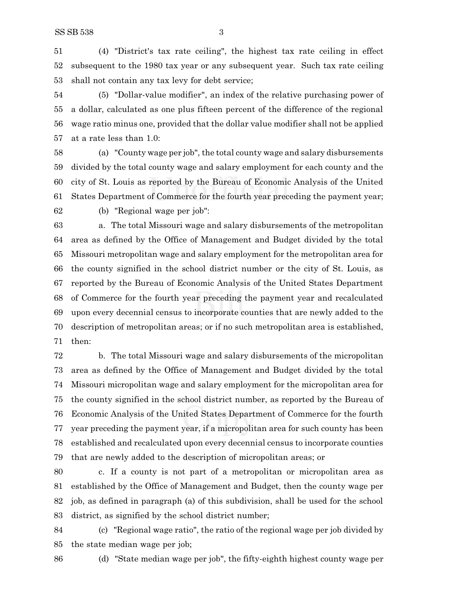(4) "District's tax rate ceiling", the highest tax rate ceiling in effect subsequent to the 1980 tax year or any subsequent year. Such tax rate ceiling shall not contain any tax levy for debt service;

 (5) "Dollar-value modifier", an index of the relative purchasing power of a dollar, calculated as one plus fifteen percent of the difference of the regional wage ratio minus one, provided that the dollar value modifier shall not be applied at a rate less than 1.0:

 (a) "County wage per job", the total county wage and salary disbursements divided by the total county wage and salary employment for each county and the city of St. Louis as reported by the Bureau of Economic Analysis of the United States Department of Commerce for the fourth year preceding the payment year;

(b) "Regional wage per job":

 a. The total Missouri wage and salary disbursements of the metropolitan area as defined by the Office of Management and Budget divided by the total Missouri metropolitan wage and salary employment for the metropolitan area for the county signified in the school district number or the city of St. Louis, as reported by the Bureau of Economic Analysis of the United States Department of Commerce for the fourth year preceding the payment year and recalculated upon every decennial census to incorporate counties that are newly added to the description of metropolitan areas; or if no such metropolitan area is established, then:

 b. The total Missouri wage and salary disbursements of the micropolitan area as defined by the Office of Management and Budget divided by the total Missouri micropolitan wage and salary employment for the micropolitan area for the county signified in the school district number, as reported by the Bureau of Economic Analysis of the United States Department of Commerce for the fourth year preceding the payment year, if a micropolitan area for such county has been established and recalculated upon every decennial census to incorporate counties that are newly added to the description of micropolitan areas; or

 c. If a county is not part of a metropolitan or micropolitan area as established by the Office of Management and Budget, then the county wage per job, as defined in paragraph (a) of this subdivision, shall be used for the school district, as signified by the school district number;

 (c) "Regional wage ratio", the ratio of the regional wage per job divided by the state median wage per job;

(d) "State median wage per job", the fifty-eighth highest county wage per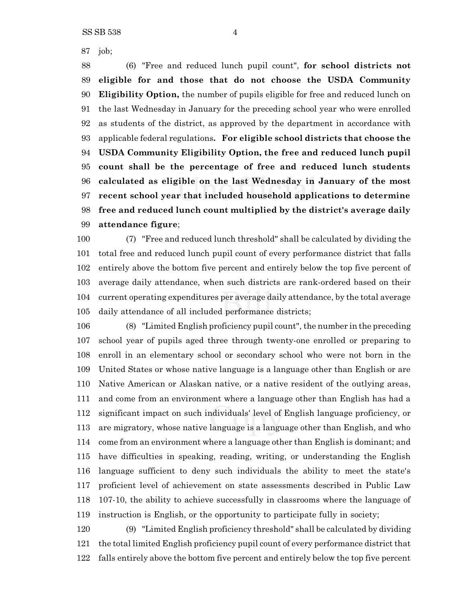(6) "Free and reduced lunch pupil count", **for school districts not eligible for and those that do not choose the USDA Community Eligibility Option,** the number of pupils eligible for free and reduced lunch on the last Wednesday in January for the preceding school year who were enrolled as students of the district, as approved by the department in accordance with applicable federal regulations**. For eligible school districts that choose the USDA Community Eligibility Option, the free and reduced lunch pupil count shall be the percentage of free and reduced lunch students calculated as eligible on the last Wednesday in January of the most recent school year that included household applications to determine free and reduced lunch count multiplied by the district's average daily attendance figure**;

 (7) "Free and reduced lunch threshold" shall be calculated by dividing the total free and reduced lunch pupil count of every performance district that falls entirely above the bottom five percent and entirely below the top five percent of average daily attendance, when such districts are rank-ordered based on their current operating expenditures per average daily attendance, by the total average daily attendance of all included performance districts;

 (8) "Limited English proficiency pupil count", the number in the preceding school year of pupils aged three through twenty-one enrolled or preparing to enroll in an elementary school or secondary school who were not born in the United States or whose native language is a language other than English or are Native American or Alaskan native, or a native resident of the outlying areas, and come from an environment where a language other than English has had a significant impact on such individuals' level of English language proficiency, or are migratory, whose native language is a language other than English, and who come from an environment where a language other than English is dominant; and have difficulties in speaking, reading, writing, or understanding the English language sufficient to deny such individuals the ability to meet the state's proficient level of achievement on state assessments described in Public Law 107-10, the ability to achieve successfully in classrooms where the language of instruction is English, or the opportunity to participate fully in society;

 (9) "Limited English proficiency threshold" shall be calculated by dividing the total limited English proficiency pupil count of every performance district that falls entirely above the bottom five percent and entirely below the top five percent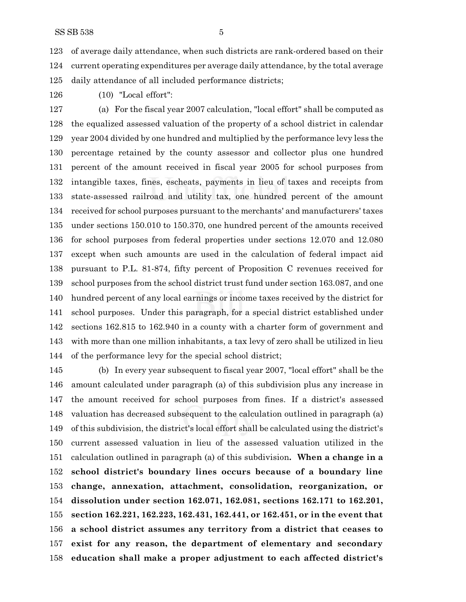of average daily attendance, when such districts are rank-ordered based on their current operating expenditures per average daily attendance, by the total average daily attendance of all included performance districts;

(10) "Local effort":

 (a) For the fiscal year 2007 calculation, "local effort" shall be computed as the equalized assessed valuation of the property of a school district in calendar year 2004 divided by one hundred and multiplied by the performance levy less the percentage retained by the county assessor and collector plus one hundred percent of the amount received in fiscal year 2005 for school purposes from intangible taxes, fines, escheats, payments in lieu of taxes and receipts from state-assessed railroad and utility tax, one hundred percent of the amount received for school purposes pursuant to the merchants' and manufacturers' taxes under sections 150.010 to 150.370, one hundred percent of the amounts received for school purposes from federal properties under sections 12.070 and 12.080 except when such amounts are used in the calculation of federal impact aid pursuant to P.L. 81-874, fifty percent of Proposition C revenues received for school purposes from the school district trust fund under section 163.087, and one hundred percent of any local earnings or income taxes received by the district for school purposes. Under this paragraph, for a special district established under sections 162.815 to 162.940 in a county with a charter form of government and with more than one million inhabitants, a tax levy of zero shall be utilized in lieu of the performance levy for the special school district;

 (b) In every year subsequent to fiscal year 2007, "local effort" shall be the amount calculated under paragraph (a) of this subdivision plus any increase in the amount received for school purposes from fines. If a district's assessed valuation has decreased subsequent to the calculation outlined in paragraph (a) of this subdivision, the district's local effort shall be calculated using the district's current assessed valuation in lieu of the assessed valuation utilized in the calculation outlined in paragraph (a) of this subdivision**. When a change in a school district's boundary lines occurs because of a boundary line change, annexation, attachment, consolidation, reorganization, or dissolution under section 162.071, 162.081, sections 162.171 to 162.201, section 162.221, 162.223, 162.431, 162.441, or 162.451, or in the event that a school district assumes any territory from a district that ceases to exist for any reason, the department of elementary and secondary education shall make a proper adjustment to each affected district's**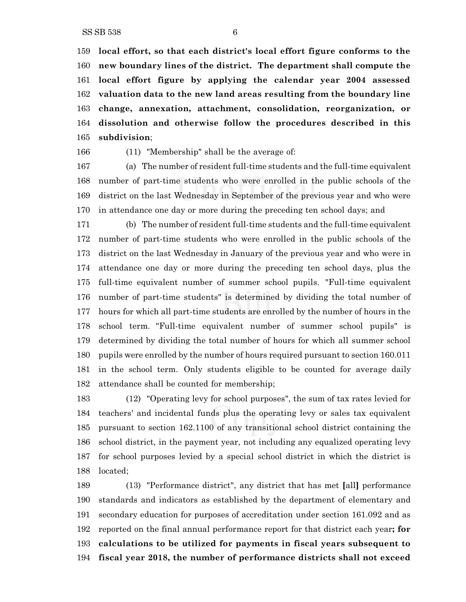**local effort, so that each district's local effort figure conforms to the new boundary lines of the district. The department shall compute the local effort figure by applying the calendar year 2004 assessed valuation data to the new land areas resulting from the boundary line change, annexation, attachment, consolidation, reorganization, or dissolution and otherwise follow the procedures described in this subdivision**;

(11) "Membership" shall be the average of:

 (a) The number of resident full-time students and the full-time equivalent number of part-time students who were enrolled in the public schools of the district on the last Wednesday in September of the previous year and who were in attendance one day or more during the preceding ten school days; and

 (b) The number of resident full-time students and the full-time equivalent number of part-time students who were enrolled in the public schools of the district on the last Wednesday in January of the previous year and who were in attendance one day or more during the preceding ten school days, plus the full-time equivalent number of summer school pupils. "Full-time equivalent number of part-time students" is determined by dividing the total number of hours for which all part-time students are enrolled by the number of hours in the school term. "Full-time equivalent number of summer school pupils" is determined by dividing the total number of hours for which all summer school pupils were enrolled by the number of hours required pursuant to section 160.011 in the school term. Only students eligible to be counted for average daily attendance shall be counted for membership;

 (12) "Operating levy for school purposes", the sum of tax rates levied for teachers' and incidental funds plus the operating levy or sales tax equivalent pursuant to section 162.1100 of any transitional school district containing the school district, in the payment year, not including any equalized operating levy for school purposes levied by a special school district in which the district is located;

 (13) "Performance district", any district that has met **[**all**]** performance standards and indicators as established by the department of elementary and secondary education for purposes of accreditation under section 161.092 and as reported on the final annual performance report for that district each year**; for calculations to be utilized for payments in fiscal years subsequent to fiscal year 2018, the number of performance districts shall not exceed**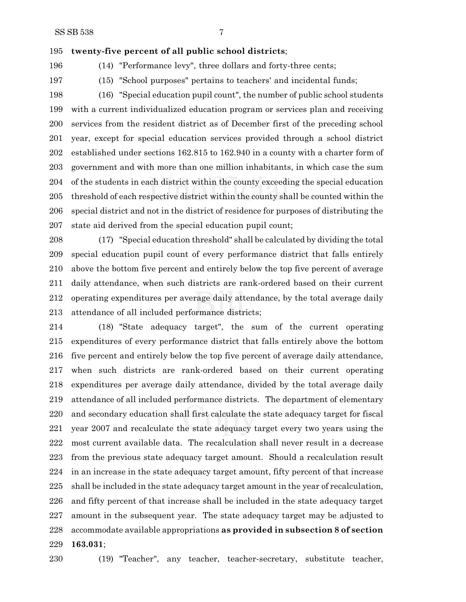#### **twenty-five percent of all public school districts**;

(14) "Performance levy", three dollars and forty-three cents;

(15) "School purposes" pertains to teachers' and incidental funds;

 (16) "Special education pupil count", the number of public school students with a current individualized education program or services plan and receiving services from the resident district as of December first of the preceding school year, except for special education services provided through a school district established under sections 162.815 to 162.940 in a county with a charter form of government and with more than one million inhabitants, in which case the sum of the students in each district within the county exceeding the special education threshold of each respective district within the county shall be counted within the special district and not in the district of residence for purposes of distributing the state aid derived from the special education pupil count;

 (17) "Special education threshold" shall be calculated by dividing the total special education pupil count of every performance district that falls entirely above the bottom five percent and entirely below the top five percent of average daily attendance, when such districts are rank-ordered based on their current operating expenditures per average daily attendance, by the total average daily attendance of all included performance districts;

 (18) "State adequacy target", the sum of the current operating expenditures of every performance district that falls entirely above the bottom five percent and entirely below the top five percent of average daily attendance, when such districts are rank-ordered based on their current operating expenditures per average daily attendance, divided by the total average daily attendance of all included performance districts. The department of elementary and secondary education shall first calculate the state adequacy target for fiscal year 2007 and recalculate the state adequacy target every two years using the most current available data. The recalculation shall never result in a decrease from the previous state adequacy target amount. Should a recalculation result in an increase in the state adequacy target amount, fifty percent of that increase shall be included in the state adequacy target amount in the year of recalculation, and fifty percent of that increase shall be included in the state adequacy target amount in the subsequent year. The state adequacy target may be adjusted to accommodate available appropriations **as provided in subsection 8 of section 163.031**;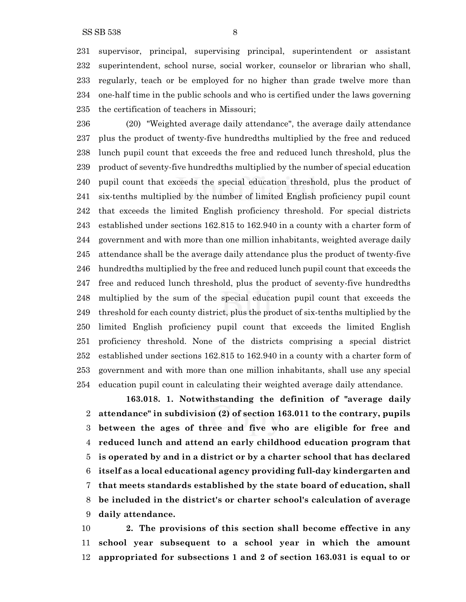supervisor, principal, supervising principal, superintendent or assistant superintendent, school nurse, social worker, counselor or librarian who shall, regularly, teach or be employed for no higher than grade twelve more than one-half time in the public schools and who is certified under the laws governing the certification of teachers in Missouri;

 (20) "Weighted average daily attendance", the average daily attendance plus the product of twenty-five hundredths multiplied by the free and reduced lunch pupil count that exceeds the free and reduced lunch threshold, plus the product of seventy-five hundredths multiplied by the number of special education pupil count that exceeds the special education threshold, plus the product of six-tenths multiplied by the number of limited English proficiency pupil count that exceeds the limited English proficiency threshold. For special districts established under sections 162.815 to 162.940 in a county with a charter form of government and with more than one million inhabitants, weighted average daily attendance shall be the average daily attendance plus the product of twenty-five hundredths multiplied by the free and reduced lunch pupil count that exceeds the free and reduced lunch threshold, plus the product of seventy-five hundredths multiplied by the sum of the special education pupil count that exceeds the threshold for each county district, plus the product of six-tenths multiplied by the limited English proficiency pupil count that exceeds the limited English proficiency threshold. None of the districts comprising a special district established under sections 162.815 to 162.940 in a county with a charter form of government and with more than one million inhabitants, shall use any special education pupil count in calculating their weighted average daily attendance.

**163.018. 1. Notwithstanding the definition of "average daily attendance" in subdivision (2) of section 163.011 to the contrary, pupils between the ages of three and five who are eligible for free and reduced lunch and attend an early childhood education program that is operated by and in a district or by a charter school that has declared itself as a local educational agency providing full-day kindergarten and that meets standards established by the state board of education, shall be included in the district's or charter school's calculation of average daily attendance.**

 **2. The provisions of this section shall become effective in any school year subsequent to a school year in which the amount appropriated for subsections 1 and 2 of section 163.031 is equal to or**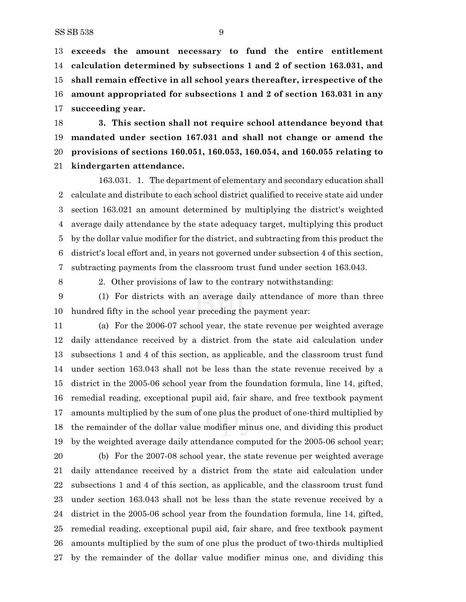**exceeds the amount necessary to fund the entire entitlement calculation determined by subsections 1 and 2 of section 163.031, and shall remain effective in all school years thereafter, irrespective of the amount appropriated for subsections 1 and 2 of section 163.031 in any succeeding year.**

 **3. This section shall not require school attendance beyond that mandated under section 167.031 and shall not change or amend the provisions of sections 160.051, 160.053, 160.054, and 160.055 relating to kindergarten attendance.**

163.031. 1. The department of elementary and secondary education shall calculate and distribute to each school district qualified to receive state aid under section 163.021 an amount determined by multiplying the district's weighted average daily attendance by the state adequacy target, multiplying this product by the dollar value modifier for the district, and subtracting from this product the district's local effort and, in years not governed under subsection 4 of this section, subtracting payments from the classroom trust fund under section 163.043.

2. Other provisions of law to the contrary notwithstanding:

 (1) For districts with an average daily attendance of more than three hundred fifty in the school year preceding the payment year:

 (a) For the 2006-07 school year, the state revenue per weighted average daily attendance received by a district from the state aid calculation under subsections 1 and 4 of this section, as applicable, and the classroom trust fund under section 163.043 shall not be less than the state revenue received by a district in the 2005-06 school year from the foundation formula, line 14, gifted, remedial reading, exceptional pupil aid, fair share, and free textbook payment amounts multiplied by the sum of one plus the product of one-third multiplied by the remainder of the dollar value modifier minus one, and dividing this product by the weighted average daily attendance computed for the 2005-06 school year;

 (b) For the 2007-08 school year, the state revenue per weighted average daily attendance received by a district from the state aid calculation under subsections 1 and 4 of this section, as applicable, and the classroom trust fund under section 163.043 shall not be less than the state revenue received by a district in the 2005-06 school year from the foundation formula, line 14, gifted, remedial reading, exceptional pupil aid, fair share, and free textbook payment amounts multiplied by the sum of one plus the product of two-thirds multiplied by the remainder of the dollar value modifier minus one, and dividing this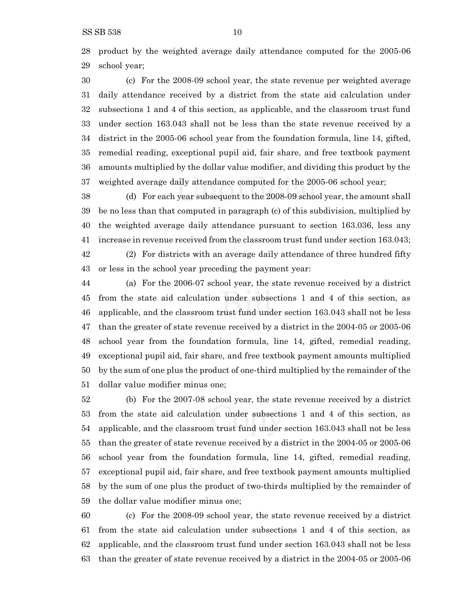product by the weighted average daily attendance computed for the 2005-06 school year;

 (c) For the 2008-09 school year, the state revenue per weighted average daily attendance received by a district from the state aid calculation under subsections 1 and 4 of this section, as applicable, and the classroom trust fund under section 163.043 shall not be less than the state revenue received by a district in the 2005-06 school year from the foundation formula, line 14, gifted, remedial reading, exceptional pupil aid, fair share, and free textbook payment amounts multiplied by the dollar value modifier, and dividing this product by the weighted average daily attendance computed for the 2005-06 school year;

 (d) For each year subsequent to the 2008-09 school year, the amount shall be no less than that computed in paragraph (c) of this subdivision, multiplied by the weighted average daily attendance pursuant to section 163.036, less any increase in revenue received from the classroom trust fund under section 163.043;

 (2) For districts with an average daily attendance of three hundred fifty or less in the school year preceding the payment year:

 (a) For the 2006-07 school year, the state revenue received by a district from the state aid calculation under subsections 1 and 4 of this section, as applicable, and the classroom trust fund under section 163.043 shall not be less than the greater of state revenue received by a district in the 2004-05 or 2005-06 school year from the foundation formula, line 14, gifted, remedial reading, exceptional pupil aid, fair share, and free textbook payment amounts multiplied by the sum of one plus the product of one-third multiplied by the remainder of the dollar value modifier minus one;

 (b) For the 2007-08 school year, the state revenue received by a district from the state aid calculation under subsections 1 and 4 of this section, as applicable, and the classroom trust fund under section 163.043 shall not be less than the greater of state revenue received by a district in the 2004-05 or 2005-06 school year from the foundation formula, line 14, gifted, remedial reading, exceptional pupil aid, fair share, and free textbook payment amounts multiplied by the sum of one plus the product of two-thirds multiplied by the remainder of the dollar value modifier minus one;

 (c) For the 2008-09 school year, the state revenue received by a district from the state aid calculation under subsections 1 and 4 of this section, as applicable, and the classroom trust fund under section 163.043 shall not be less than the greater of state revenue received by a district in the 2004-05 or 2005-06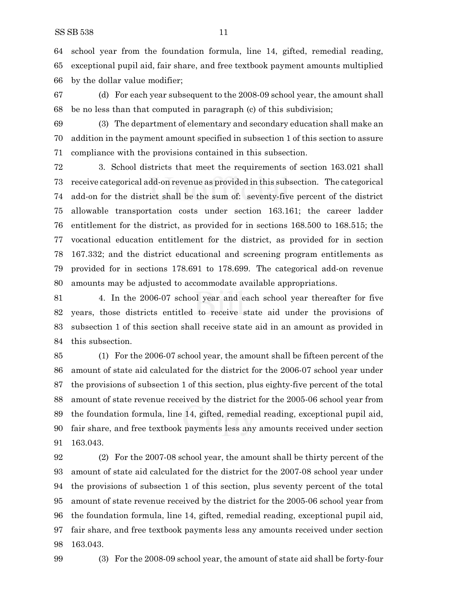school year from the foundation formula, line 14, gifted, remedial reading, exceptional pupil aid, fair share, and free textbook payment amounts multiplied by the dollar value modifier;

 (d) For each year subsequent to the 2008-09 school year, the amount shall be no less than that computed in paragraph (c) of this subdivision;

 (3) The department of elementary and secondary education shall make an addition in the payment amount specified in subsection 1 of this section to assure compliance with the provisions contained in this subsection.

 3. School districts that meet the requirements of section 163.021 shall receive categorical add-on revenue as provided in this subsection. The categorical add-on for the district shall be the sum of: seventy-five percent of the district allowable transportation costs under section 163.161; the career ladder entitlement for the district, as provided for in sections 168.500 to 168.515; the vocational education entitlement for the district, as provided for in section 167.332; and the district educational and screening program entitlements as provided for in sections 178.691 to 178.699. The categorical add-on revenue amounts may be adjusted to accommodate available appropriations.

 4. In the 2006-07 school year and each school year thereafter for five years, those districts entitled to receive state aid under the provisions of subsection 1 of this section shall receive state aid in an amount as provided in this subsection.

 (1) For the 2006-07 school year, the amount shall be fifteen percent of the amount of state aid calculated for the district for the 2006-07 school year under the provisions of subsection 1 of this section, plus eighty-five percent of the total amount of state revenue received by the district for the 2005-06 school year from the foundation formula, line 14, gifted, remedial reading, exceptional pupil aid, fair share, and free textbook payments less any amounts received under section 163.043.

 (2) For the 2007-08 school year, the amount shall be thirty percent of the amount of state aid calculated for the district for the 2007-08 school year under the provisions of subsection 1 of this section, plus seventy percent of the total amount of state revenue received by the district for the 2005-06 school year from the foundation formula, line 14, gifted, remedial reading, exceptional pupil aid, fair share, and free textbook payments less any amounts received under section 163.043.

(3) For the 2008-09 school year, the amount of state aid shall be forty-four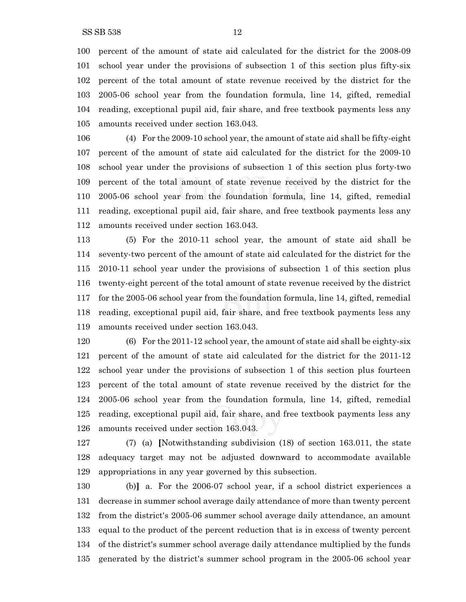percent of the amount of state aid calculated for the district for the 2008-09 school year under the provisions of subsection 1 of this section plus fifty-six percent of the total amount of state revenue received by the district for the 2005-06 school year from the foundation formula, line 14, gifted, remedial reading, exceptional pupil aid, fair share, and free textbook payments less any amounts received under section 163.043.

 (4) For the 2009-10 school year, the amount of state aid shall be fifty-eight percent of the amount of state aid calculated for the district for the 2009-10 school year under the provisions of subsection 1 of this section plus forty-two percent of the total amount of state revenue received by the district for the 2005-06 school year from the foundation formula, line 14, gifted, remedial reading, exceptional pupil aid, fair share, and free textbook payments less any amounts received under section 163.043.

 (5) For the 2010-11 school year, the amount of state aid shall be seventy-two percent of the amount of state aid calculated for the district for the 2010-11 school year under the provisions of subsection 1 of this section plus twenty-eight percent of the total amount of state revenue received by the district for the 2005-06 school year from the foundation formula, line 14, gifted, remedial reading, exceptional pupil aid, fair share, and free textbook payments less any amounts received under section 163.043.

 (6) For the 2011-12 school year, the amount of state aid shall be eighty-six percent of the amount of state aid calculated for the district for the 2011-12 school year under the provisions of subsection 1 of this section plus fourteen percent of the total amount of state revenue received by the district for the 2005-06 school year from the foundation formula, line 14, gifted, remedial reading, exceptional pupil aid, fair share, and free textbook payments less any amounts received under section 163.043.

 (7) (a) **[**Notwithstanding subdivision (18) of section 163.011, the state adequacy target may not be adjusted downward to accommodate available appropriations in any year governed by this subsection.

 (b)**]** a. For the 2006-07 school year, if a school district experiences a decrease in summer school average daily attendance of more than twenty percent from the district's 2005-06 summer school average daily attendance, an amount equal to the product of the percent reduction that is in excess of twenty percent of the district's summer school average daily attendance multiplied by the funds generated by the district's summer school program in the 2005-06 school year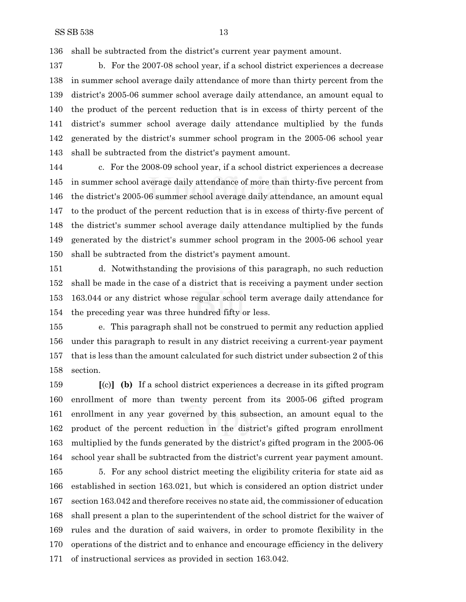shall be subtracted from the district's current year payment amount.

 b. For the 2007-08 school year, if a school district experiences a decrease in summer school average daily attendance of more than thirty percent from the district's 2005-06 summer school average daily attendance, an amount equal to the product of the percent reduction that is in excess of thirty percent of the district's summer school average daily attendance multiplied by the funds generated by the district's summer school program in the 2005-06 school year shall be subtracted from the district's payment amount.

 c. For the 2008-09 school year, if a school district experiences a decrease in summer school average daily attendance of more than thirty-five percent from the district's 2005-06 summer school average daily attendance, an amount equal to the product of the percent reduction that is in excess of thirty-five percent of the district's summer school average daily attendance multiplied by the funds generated by the district's summer school program in the 2005-06 school year shall be subtracted from the district's payment amount.

 d. Notwithstanding the provisions of this paragraph, no such reduction shall be made in the case of a district that is receiving a payment under section 163.044 or any district whose regular school term average daily attendance for the preceding year was three hundred fifty or less.

 e. This paragraph shall not be construed to permit any reduction applied under this paragraph to result in any district receiving a current-year payment that is less than the amount calculated for such district under subsection 2 of this section.

 **[**(c)**] (b)** If a school district experiences a decrease in its gifted program enrollment of more than twenty percent from its 2005-06 gifted program enrollment in any year governed by this subsection, an amount equal to the product of the percent reduction in the district's gifted program enrollment multiplied by the funds generated by the district's gifted program in the 2005-06 school year shall be subtracted from the district's current year payment amount.

 5. For any school district meeting the eligibility criteria for state aid as established in section 163.021, but which is considered an option district under section 163.042 and therefore receives no state aid, the commissioner of education shall present a plan to the superintendent of the school district for the waiver of rules and the duration of said waivers, in order to promote flexibility in the operations of the district and to enhance and encourage efficiency in the delivery of instructional services as provided in section 163.042.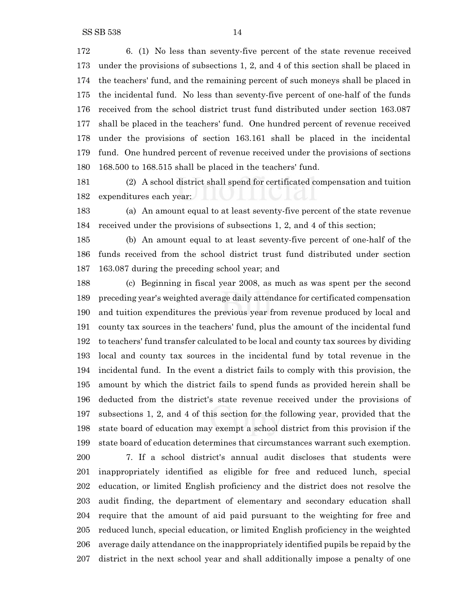6. (1) No less than seventy-five percent of the state revenue received under the provisions of subsections 1, 2, and 4 of this section shall be placed in the teachers' fund, and the remaining percent of such moneys shall be placed in the incidental fund. No less than seventy-five percent of one-half of the funds received from the school district trust fund distributed under section 163.087 shall be placed in the teachers' fund. One hundred percent of revenue received under the provisions of section 163.161 shall be placed in the incidental fund. One hundred percent of revenue received under the provisions of sections 168.500 to 168.515 shall be placed in the teachers' fund.

 (2) A school district shall spend for certificated compensation and tuition expenditures each year:

 (a) An amount equal to at least seventy-five percent of the state revenue received under the provisions of subsections 1, 2, and 4 of this section;

 (b) An amount equal to at least seventy-five percent of one-half of the funds received from the school district trust fund distributed under section 163.087 during the preceding school year; and

 (c) Beginning in fiscal year 2008, as much as was spent per the second preceding year's weighted average daily attendance for certificated compensation and tuition expenditures the previous year from revenue produced by local and county tax sources in the teachers' fund, plus the amount of the incidental fund to teachers' fund transfer calculated to be local and county tax sources by dividing local and county tax sources in the incidental fund by total revenue in the incidental fund. In the event a district fails to comply with this provision, the amount by which the district fails to spend funds as provided herein shall be deducted from the district's state revenue received under the provisions of subsections 1, 2, and 4 of this section for the following year, provided that the state board of education may exempt a school district from this provision if the state board of education determines that circumstances warrant such exemption.

 7. If a school district's annual audit discloses that students were inappropriately identified as eligible for free and reduced lunch, special education, or limited English proficiency and the district does not resolve the audit finding, the department of elementary and secondary education shall require that the amount of aid paid pursuant to the weighting for free and reduced lunch, special education, or limited English proficiency in the weighted average daily attendance on the inappropriately identified pupils be repaid by the district in the next school year and shall additionally impose a penalty of one